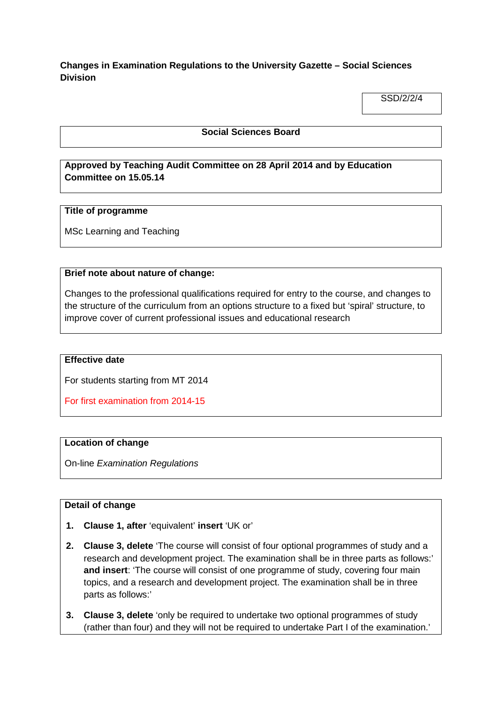# **Changes in Examination Regulations to the University Gazette – Social Sciences Division**

SSD/2/2/4

### **Social Sciences Board**

# **Approved by Teaching Audit Committee on 28 April 2014 and by Education Committee on 15.05.14**

#### **Title of programme**

MSc Learning and Teaching

#### **Brief note about nature of change:**

Changes to the professional qualifications required for entry to the course, and changes to the structure of the curriculum from an options structure to a fixed but 'spiral' structure, to improve cover of current professional issues and educational research

#### **Effective date**

For students starting from MT 2014

For first examination from 2014-15

#### **Location of change**

On-line *Examination Regulations*

#### **Detail of change**

- **1. Clause 1, after** 'equivalent' **insert** 'UK or'
- **2. Clause 3, delete** 'The course will consist of four optional programmes of study and a research and development project. The examination shall be in three parts as follows:' **and insert**: 'The course will consist of one programme of study, covering four main topics, and a research and development project. The examination shall be in three parts as follows:'
- **3. Clause 3, delete** 'only be required to undertake two optional programmes of study (rather than four) and they will not be required to undertake Part I of the examination.'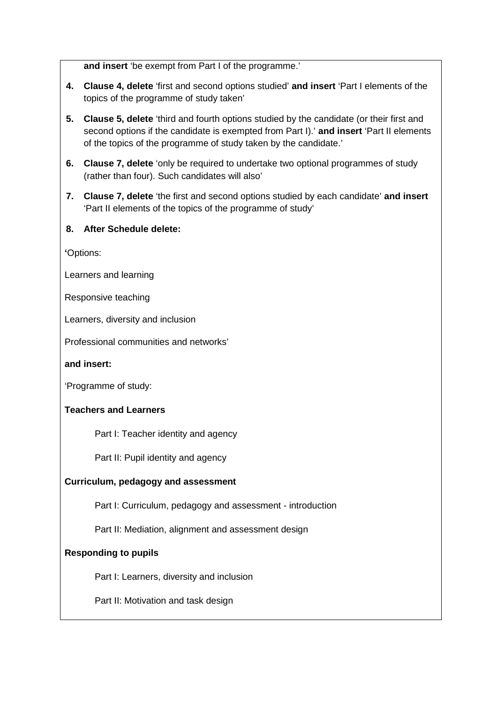**and insert** 'be exempt from Part I of the programme.'

- **4. Clause 4, delete** 'first and second options studied' **and insert** 'Part I elements of the topics of the programme of study taken'
- **5. Clause 5, delete** 'third and fourth options studied by the candidate (or their first and second options if the candidate is exempted from Part I).' **and insert** 'Part II elements of the topics of the programme of study taken by the candidate.'
- **6. Clause 7, delete** 'only be required to undertake two optional programmes of study (rather than four). Such candidates will also'
- **7. Clause 7, delete** 'the first and second options studied by each candidate' **and insert** 'Part II elements of the topics of the programme of study'

## **8. After Schedule delete:**

**'**Options:

Learners and learning

Responsive teaching

Learners, diversity and inclusion

Professional communities and networks'

**and insert:**

'Programme of study:

## **Teachers and Learners**

Part I: Teacher identity and agency

Part II: Pupil identity and agency

## **Curriculum, pedagogy and assessment**

Part I: Curriculum, pedagogy and assessment - introduction

Part II: Mediation, alignment and assessment design

## **Responding to pupils**

Part I: Learners, diversity and inclusion

Part II: Motivation and task design